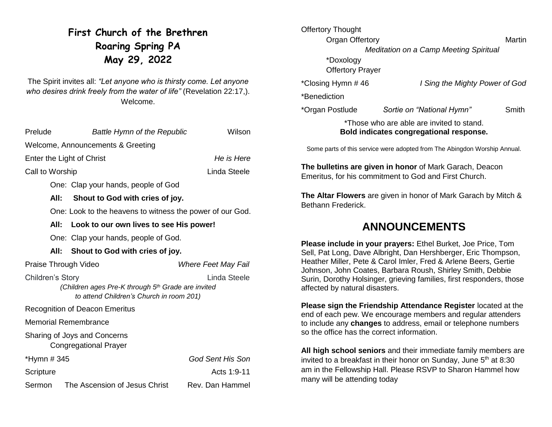# **First Church of the Brethren Roaring Spring PA May 29, 2022**

The Spirit invites all: *"Let anyone who is thirsty come. Let anyone who desires drink freely from the water of life"* (Revelation 22:17,). Welcome.

| Prelude                                 | <b>Battle Hymn of the Republic</b>                                                             | Wilson              |  |
|-----------------------------------------|------------------------------------------------------------------------------------------------|---------------------|--|
| Welcome, Announcements & Greeting       |                                                                                                |                     |  |
| He is Here<br>Enter the Light of Christ |                                                                                                |                     |  |
| Call to Worship                         |                                                                                                | Linda Steele        |  |
|                                         | One: Clap your hands, people of God                                                            |                     |  |
|                                         | All:<br>Shout to God with cries of joy.                                                        |                     |  |
|                                         | One: Look to the heavens to witness the power of our God.                                      |                     |  |
|                                         | All:<br>Look to our own lives to see His power!                                                |                     |  |
|                                         | One: Clap your hands, people of God.                                                           |                     |  |
|                                         | All:<br>Shout to God with cries of joy.                                                        |                     |  |
|                                         |                                                                                                |                     |  |
|                                         | Praise Through Video                                                                           | Where Feet May Fail |  |
| Children's Story                        | (Children ages Pre-K through 5th Grade are invited<br>to attend Children's Church in room 201) | Linda Steele        |  |
|                                         | <b>Recognition of Deacon Emeritus</b>                                                          |                     |  |
|                                         | <b>Memorial Remembrance</b>                                                                    |                     |  |
|                                         | Sharing of Joys and Concerns<br><b>Congregational Prayer</b>                                   |                     |  |
| *Hymn # 345                             |                                                                                                | God Sent His Son    |  |
| Scripture                               |                                                                                                | Acts 1:9-11         |  |

| <b>Offertory Thought</b> |                                        |        |
|--------------------------|----------------------------------------|--------|
| Organ Offertory          |                                        | Martin |
|                          | Meditation on a Camp Meeting Spiritual |        |
| *Doxology                |                                        |        |
| <b>Offertory Prayer</b>  |                                        |        |
| *Closing Hymn #46        | I Sing the Mighty Power of God         |        |
| *Benediction             |                                        |        |
| *Organ Postlude          | Sortie on "National Hymn"              | Smith  |
|                          |                                        |        |

#### \*Those who are able are invited to stand. **Bold indicates congregational response.**

Some parts of this service were adopted from The Abingdon Worship Annual.

**The bulletins are given in honor** of Mark Garach, Deacon Emeritus, for his commitment to God and First Church.

**The Altar Flowers** are given in honor of Mark Garach by Mitch & Bethann Frederick.

## **ANNOUNCEMENTS**

**Please include in your prayers:** Ethel Burket, Joe Price, Tom Sell, Pat Long, Dave Albright, Dan Hershberger, Eric Thompson, Heather Miller, Pete & Carol Imler, Fred & Arlene Beers, Gertie Johnson, John Coates, Barbara Roush, Shirley Smith, Debbie Surin, Dorothy Holsinger, grieving families, first responders, those affected by natural disasters.

**Please sign the Friendship Attendance Register** located at the end of each pew. We encourage members and regular attenders to include any **changes** to address, email or telephone numbers so the office has the correct information.

**All high school seniors** and their immediate family members are invited to a breakfast in their honor on Sunday, June 5<sup>th</sup> at 8:30 am in the Fellowship Hall. Please RSVP to Sharon Hammel how many will be attending today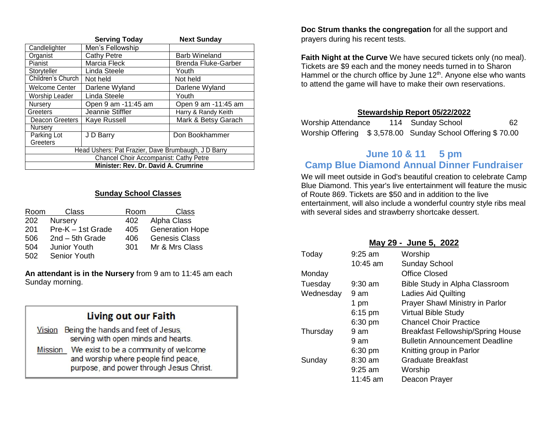|                                                     | <b>Serving Today</b> | <b>Next Sunday</b>         |  |
|-----------------------------------------------------|----------------------|----------------------------|--|
| Candlelighter                                       | Men's Fellowship     |                            |  |
| Organist                                            | <b>Cathy Petre</b>   | <b>Barb Wineland</b>       |  |
| Pianist                                             | Marcia Fleck         | <b>Brenda Fluke-Garber</b> |  |
| Storyteller                                         | Linda Steele         | Youth                      |  |
| Children's Church                                   | Not held             | Not held                   |  |
| <b>Welcome Center</b>                               | Darlene Wyland       | Darlene Wyland             |  |
| <b>Worship Leader</b>                               | Linda Steele         | Youth                      |  |
| Nursery                                             | Open 9 am -11:45 am  | Open 9 am -11:45 am        |  |
| Greeters                                            | Jeannie Stiffler     | Harry & Randy Keith        |  |
| Deacon Greeters                                     | Kaye Russell         | Mark & Betsy Garach        |  |
| Nurserv                                             |                      |                            |  |
| Parking Lot                                         | J D Barry            | Don Bookhammer             |  |
| Greeters                                            |                      |                            |  |
| Head Ushers: Pat Frazier, Dave Brumbaugh, J D Barry |                      |                            |  |
| <b>Chancel Choir Accompanist: Cathy Petre</b>       |                      |                            |  |
| Minister: Rev. Dr. David A. Crumrine                |                      |                            |  |

### **Sunday School Classes**

| Room | Class               | Room | Class                  |
|------|---------------------|------|------------------------|
| 202  | <b>Nursery</b>      | 402  | Alpha Class            |
| 201  | Pre-K – 1st Grade   | 405  | <b>Generation Hope</b> |
| 506  | $2nd - 5th$ Grade   | 406  | <b>Genesis Class</b>   |
| 504  | <b>Junior Youth</b> | 301  | Mr & Mrs Class         |
| 502  | Senior Youth        |      |                        |

**An attendant is in the Nursery** from 9 am to 11:45 am each Sunday morning.

| Living out our Faith                                                                                                                        |  |  |
|---------------------------------------------------------------------------------------------------------------------------------------------|--|--|
| Being the hands and feet of Jesus,<br><b>Vision</b><br>serving with open minds and hearts.                                                  |  |  |
| We exist to be a community of welcome<br><b>Mission</b><br>and worship where people find peace,<br>purpose, and power through Jesus Christ. |  |  |

**Doc Strum thanks the congregation** for all the support and prayers during his recent tests.

**Faith Night at the Curve** We have secured tickets only (no meal). Tickets are \$9 each and the money needs turned in to Sharon Hammel or the church office by June 12<sup>th</sup>. Anyone else who wants to attend the game will have to make their own reservations.

#### **Stewardship Report 05/22/2022**

| Worship Attendance | 114 Sunday School                                          | 62 |
|--------------------|------------------------------------------------------------|----|
|                    | Worship Offering \$3,578.00 Sunday School Offering \$70.00 |    |

### **June 10 & 11 5 pm Camp Blue Diamond Annual Dinner Fundraiser**

We will meet outside in God's beautiful creation to celebrate Camp Blue Diamond. This year's live entertainment will feature the music of Route 869. Tickets are \$50 and in addition to the live entertainment, will also include a wonderful country style ribs meal with several sides and strawberry shortcake dessert.

| May 29 - June 5, 2022 |                   |                                          |  |
|-----------------------|-------------------|------------------------------------------|--|
| Today                 | $9:25$ am         | Worship                                  |  |
|                       | $10:45$ am        | <b>Sunday School</b>                     |  |
| Monday                |                   | Office Closed                            |  |
| Tuesday               | $9:30$ am         | <b>Bible Study in Alpha Classroom</b>    |  |
| Wednesday             | 9 am              | <b>Ladies Aid Quilting</b>               |  |
|                       | 1 pm              | Prayer Shawl Ministry in Parlor          |  |
|                       | $6:15$ pm         | <b>Virtual Bible Study</b>               |  |
|                       | $6:30 \text{ pm}$ | <b>Chancel Choir Practice</b>            |  |
| Thursday              | 9 am              | <b>Breakfast Fellowship/Spring House</b> |  |
|                       | 9 am              | <b>Bulletin Announcement Deadline</b>    |  |
|                       | $6:30$ pm         | Knitting group in Parlor                 |  |
| Sunday                | $8:30$ am         | Graduate Breakfast                       |  |
|                       | $9:25$ am         | Worship                                  |  |
|                       | 11:45 am          | Deacon Prayer                            |  |